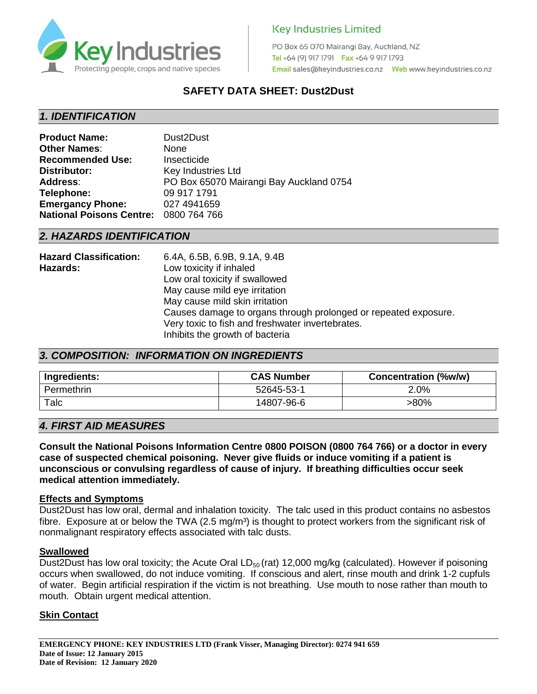

PO Box 65 070 Mairangi Bay, Auckland, NZ Tel +64 (9) 917 1791 Fax +64 9 917 1793 

# **SAFETY DATA SHEET: Dust2Dust**

## *1. IDENTIFICATION*

| <b>Product Name:</b>            | Dust2Dust                               |
|---------------------------------|-----------------------------------------|
| <b>Other Names:</b>             | None                                    |
| <b>Recommended Use:</b>         | Insecticide                             |
| Distributor:                    | Key Industries Ltd                      |
| <b>Address:</b>                 | PO Box 65070 Mairangi Bay Auckland 0754 |
| Telephone:                      | 09 917 1791                             |
| <b>Emergancy Phone:</b>         | 027 4941659                             |
| <b>National Poisons Centre:</b> | 0800 764 766                            |

## *2. HAZARDS IDENTIFICATION*

| <b>Hazard Classification:</b> | 6.4A, 6.5B, 6.9B, 9.1A, 9.4B                                    |
|-------------------------------|-----------------------------------------------------------------|
| Hazards:                      | Low toxicity if inhaled                                         |
|                               | Low oral toxicity if swallowed                                  |
|                               | May cause mild eye irritation                                   |
|                               | May cause mild skin irritation                                  |
|                               | Causes damage to organs through prolonged or repeated exposure. |
|                               | Very toxic to fish and freshwater invertebrates.                |
|                               | Inhibits the growth of bacteria                                 |

## *3. COMPOSITION: INFORMATION ON INGREDIENTS*

| Ingredients: | <b>CAS Number</b> | <b>Concentration (%w/w)</b> |
|--------------|-------------------|-----------------------------|
| Permethrin   | 52645-53-1        | 2.0%                        |
| Talc         | 14807-96-6        | >80%                        |

## *4. FIRST AID MEASURES*

**Consult the National Poisons Information Centre 0800 POISON (0800 764 766) or a doctor in every case of suspected chemical poisoning. Never give fluids or induce vomiting if a patient is unconscious or convulsing regardless of cause of injury. If breathing difficulties occur seek medical attention immediately.**

#### **Effects and Symptoms**

Dust2Dust has low oral, dermal and inhalation toxicity. The talc used in this product contains no asbestos fibre. Exposure at or below the TWA  $(2.5 \text{ mag/m}^3)$  is thought to protect workers from the significant risk of nonmalignant respiratory effects associated with talc dusts.

#### **Swallowed**

Dust2Dust has low oral toxicity; the Acute Oral  $LD_{50}$  (rat) 12,000 mg/kg (calculated). However if poisoning occurs when swallowed, do not induce vomiting. If conscious and alert, rinse mouth and drink 1-2 cupfuls of water. Begin artificial respiration if the victim is not breathing. Use mouth to nose rather than mouth to mouth. Obtain urgent medical attention.

#### **Skin Contact**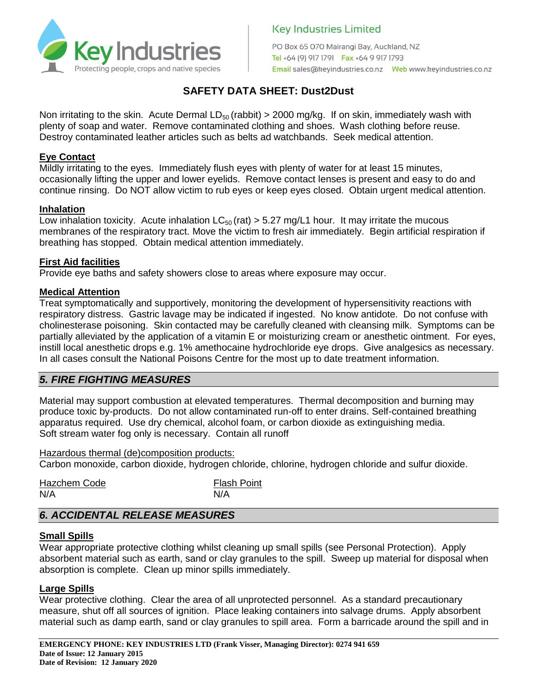

PO Box 65 070 Mairangi Bay, Auckland, NZ Tel +64 (9) 917 1791 Fax +64 9 917 1793 

# **SAFETY DATA SHEET: Dust2Dust**

Non irritating to the skin. Acute Dermal  $LD_{50}$  (rabbit) > 2000 mg/kg. If on skin, immediately wash with plenty of soap and water. Remove contaminated clothing and shoes. Wash clothing before reuse. Destroy contaminated leather articles such as belts ad watchbands. Seek medical attention.

### **Eye Contact**

Mildly irritating to the eyes. Immediately flush eyes with plenty of water for at least 15 minutes, occasionally lifting the upper and lower eyelids. Remove contact lenses is present and easy to do and continue rinsing. Do NOT allow victim to rub eyes or keep eyes closed. Obtain urgent medical attention.

### **Inhalation**

Low inhalation toxicity. Acute inhalation  $LC_{50}$  (rat)  $> 5.27$  mg/L1 hour. It may irritate the mucous membranes of the respiratory tract. Move the victim to fresh air immediately. Begin artificial respiration if breathing has stopped. Obtain medical attention immediately.

### **First Aid facilities**

Provide eye baths and safety showers close to areas where exposure may occur.

### **Medical Attention**

Treat symptomatically and supportively, monitoring the development of hypersensitivity reactions with respiratory distress. Gastric lavage may be indicated if ingested. No know antidote. Do not confuse with cholinesterase poisoning. Skin contacted may be carefully cleaned with cleansing milk. Symptoms can be partially alleviated by the application of a vitamin E or moisturizing cream or anesthetic ointment. For eyes, instill local anesthetic drops e.g. 1% amethocaine hydrochloride eye drops. Give analgesics as necessary. In all cases consult the National Poisons Centre for the most up to date treatment information.

# *5. FIRE FIGHTING MEASURES*

Material may support combustion at elevated temperatures. Thermal decomposition and burning may produce toxic by-products. Do not allow contaminated run-off to enter drains. Self-contained breathing apparatus required. Use dry chemical, alcohol foam, or carbon dioxide as extinguishing media. Soft stream water fog only is necessary. Contain all runoff

Hazardous thermal (de)composition products: Carbon monoxide, carbon dioxide, hydrogen chloride, chlorine, hydrogen chloride and sulfur dioxide.

| <b>Hazchem Code</b> | <b>Flash Point</b> |
|---------------------|--------------------|
| N/A                 | N/A                |

# *6. ACCIDENTAL RELEASE MEASURES*

#### **Small Spills**

Wear appropriate protective clothing whilst cleaning up small spills (see Personal Protection). Apply absorbent material such as earth, sand or clay granules to the spill. Sweep up material for disposal when absorption is complete. Clean up minor spills immediately.

### **Large Spills**

Wear protective clothing. Clear the area of all unprotected personnel. As a standard precautionary measure, shut off all sources of ignition. Place leaking containers into salvage drums. Apply absorbent material such as damp earth, sand or clay granules to spill area. Form a barricade around the spill and in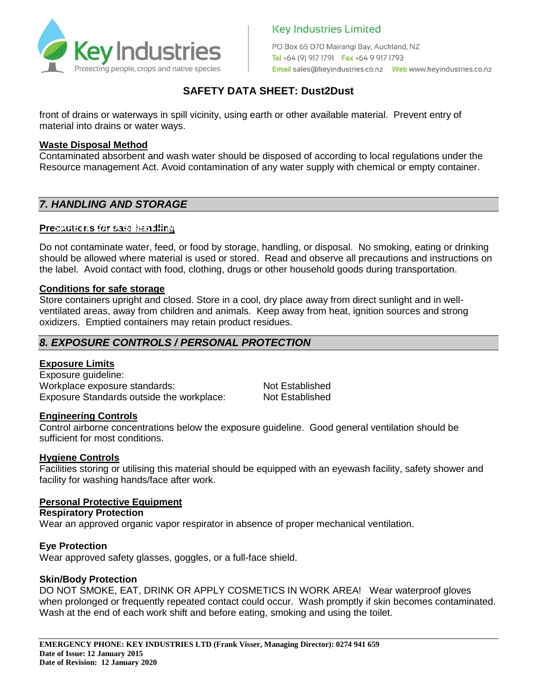

PO Box 65 070 Mairangi Bay, Auckland, NZ Tel +64 (9) 917 1791 Fax +64 9 917 1793 

# **SAFETY DATA SHEET: Dust2Dust**

front of drains or waterways in spill vicinity, using earth or other available material. Prevent entry of material into drains or water ways.

#### **Waste Disposal Method**

Contaminated absorbent and wash water should be disposed of according to local regulations under the Resource management Act. Avoid contamination of any water supply with chemical or empty container.

## *7. HANDLING AND STORAGE*

#### **Precautions for safe handling SAFETY DATA SHEET – Miller Mark**

Do not contaminate water, feed, or food by storage, handling, or disposal. No smoking, eating or drinking should be allowed where material is used or stored. Read and observe all precautions and instructions on the label. Avoid contact with food, clothing, drugs or other household goods during transportation. **Herbicide**

#### **Conditions for safe storage**

Store containers upright and closed. Store in a cool, dry place away from direct sunlight and in wellventilated areas, away from children and animals. Keep away from heat, ignition sources and strong oxidizers. Emptied containers may retain product residues.

### *8. EXPOSURE CONTROLS / PERSONAL PROTECTION*

#### **Exposure Limits**

Exposure guideline: Workplace exposure standards: Not Established Exposure Standards outside the workplace: Not Established

#### **Engineering Controls**

Control airborne concentrations below the exposure guideline. Good general ventilation should be sufficient for most conditions.

#### **Hygiene Controls**

Facilities storing or utilising this material should be equipped with an eyewash facility, safety shower and facility for washing hands/face after work.

#### **Personal Protective Equipment**

**Respiratory Protection**

Wear an approved organic vapor respirator in absence of proper mechanical ventilation.

#### **Eye Protection**

Wear approved safety glasses, goggles, or a full-face shield.

#### **Skin/Body Protection**

DO NOT SMOKE, EAT, DRINK OR APPLY COSMETICS IN WORK AREA! Wear waterproof gloves when prolonged or frequently repeated contact could occur. Wash promptly if skin becomes contaminated. Wash at the end of each work shift and before eating, smoking and using the toilet.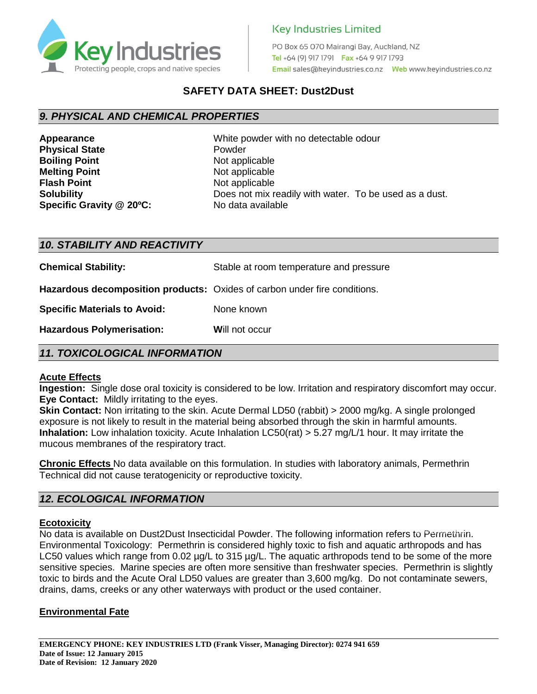

PO Box 65 070 Mairangi Bay, Auckland, NZ Tel +64 (9) 917 1791 Fax +64 9 917 1793 

# **SAFETY DATA SHEET: Dust2Dust**

## *9. PHYSICAL AND CHEMICAL PROPERTIES*

**Physical State Powder Boiling Point** Not applicable **Melting Point** Not applicable **Flash Point Not applicable Specific Gravity @ 20°C:** No data available

**Appearance** White powder with no detectable odour **Solubility Colubility Does not mix readily with water.** To be used as a dust.

#### *10. STABILITY AND REACTIVITY*

**Chemical Stability:** Stable at room temperature and pressure

**Hazardous decomposition products:** Oxides of carbon under fire conditions.

**Specific Materials to Avoid:** None known

**Hazardous Polymerisation:** Will not occur

### *11. TOXICOLOGICAL INFORMATION*

#### **Acute Effects**

**Ingestion:** Single dose oral toxicity is considered to be low. Irritation and respiratory discomfort may occur. **Eye Contact:** Mildly irritating to the eyes.

**Skin Contact:** Non irritating to the skin. Acute Dermal LD50 (rabbit) > 2000 mg/kg. A single prolonged exposure is not likely to result in the material being absorbed through the skin in harmful amounts. **Inhalation:** Low inhalation toxicity. Acute Inhalation LC50(rat) > 5.27 mg/L/1 hour. It may irritate the mucous membranes of the respiratory tract.

**Chronic Effects** No data available on this formulation. In studies with laboratory animals, Permethrin Technical did not cause teratogenicity or reproductive toxicity.

## *12. ECOLOGICAL INFORMATION*

#### **Ecotoxicity**

No data is available on Dust2Dust Insecticidal Powder. The following information refers to Permethrin. Environmental Toxicology: Permethrin is considered highly toxic to fish and aquatic arthropods and has LC50 values which range from 0.02  $\mu$ g/L to 315  $\mu$ g/L. The aquatic arthropods tend to be some of the more sensitive species. Marine species are often more sensitive than freshwater species. Permethrin is slightly toxic to birds and the Acute Oral LD50 values are greater than 3,600 mg/kg. Do not contaminate sewers, drains, dams, creeks or any other waterways with product or the used container.

#### **Environmental Fate**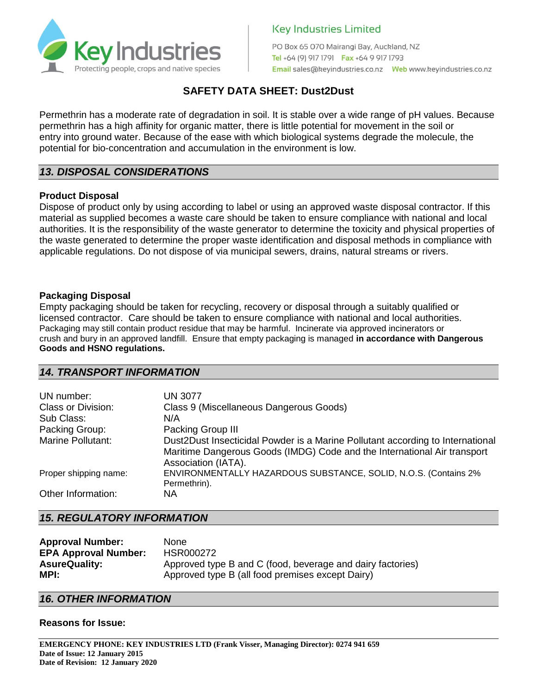

PO Box 65 070 Mairangi Bay, Auckland, NZ Tel +64 (9) 917 1791 Fax +64 9 917 1793 

# **SAFETY DATA SHEET: Dust2Dust**

Permethrin has a moderate rate of degradation in soil. It is stable over a wide range of pH values. Because permethrin has a high affinity for organic matter, there is little potential for movement in the soil or entry into ground water. Because of the ease with which biological systems degrade the molecule, the potential for bio-concentration and accumulation in the environment is low.

## *13. DISPOSAL CONSIDERATIONS*

#### **Product Disposal**

Dispose of product only by using according to label or using an approved waste disposal contractor. If this material as supplied becomes a waste care should be taken to ensure compliance with national and local authorities. It is the responsibility of the waste generator to determine the toxicity and physical properties of the waste generated to determine the proper waste identification and disposal methods in compliance with applicable regulations. Do not dispose of via municipal sewers, drains, natural streams or rivers.

#### **Packaging Disposal**

Empty packaging should be taken for recycling, recovery or disposal through a suitably qualified or licensed contractor. Care should be taken to ensure compliance with national and local authorities. Packaging may still contain product residue that may be harmful. Incinerate via approved incinerators or crush and bury in an approved landfill. Ensure that empty packaging is managed **in accordance with Dangerous Goods and HSNO regulations.**

## *14. TRANSPORT INFORMATION*

| UN number:                | <b>UN 3077</b>                                                                                                                                                                    |
|---------------------------|-----------------------------------------------------------------------------------------------------------------------------------------------------------------------------------|
| <b>Class or Division:</b> | Class 9 (Miscellaneous Dangerous Goods)                                                                                                                                           |
| Sub Class:                | N/A                                                                                                                                                                               |
| Packing Group:            | Packing Group III                                                                                                                                                                 |
| <b>Marine Pollutant:</b>  | Dust2Dust Insecticidal Powder is a Marine Pollutant according to International<br>Maritime Dangerous Goods (IMDG) Code and the International Air transport<br>Association (IATA). |
| Proper shipping name:     | ENVIRONMENTALLY HAZARDOUS SUBSTANCE, SOLID, N.O.S. (Contains 2%<br>Permethrin).                                                                                                   |
| Other Information:        | NA.                                                                                                                                                                               |

#### *15. REGULATORY INFORMATION*

| <b>Approval Number:</b>     | <b>None</b>                                                |
|-----------------------------|------------------------------------------------------------|
| <b>EPA Approval Number:</b> | HSR000272                                                  |
| <b>AsureQuality:</b>        | Approved type B and C (food, beverage and dairy factories) |
| MPI:                        | Approved type B (all food premises except Dairy)           |

#### *16. OTHER INFORMATION*

#### **Reasons for Issue:**